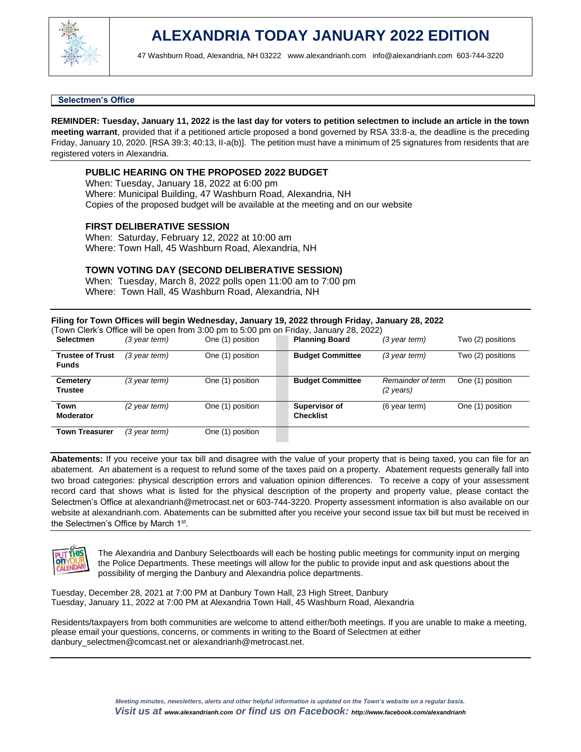

### **Selectmen's Office**

**REMINDER: Tuesday, January 11, 2022 is the last day for voters to petition selectmen to include an article in the town meeting warrant**, provided that if a petitioned article proposed a bond governed by RSA 33:8-a, the deadline is the preceding Friday, January 10, 2020. [RSA 39:3; 40:13, II-a(b)]. The petition must have a minimum of 25 signatures from residents that are registered voters in Alexandria.

# **PUBLIC HEARING ON THE PROPOSED 2022 BUDGET**

When: Tuesday, January 18, 2022 at 6:00 pm Where: Municipal Building, 47 Washburn Road, Alexandria, NH Copies of the proposed budget will be available at the meeting and on our website

### **FIRST DELIBERATIVE SESSION**

When: Saturday, February 12, 2022 at 10:00 am Where: Town Hall, 45 Washburn Road, Alexandria, NH

# **TOWN VOTING DAY (SECOND DELIBERATIVE SESSION)**

When: Tuesday, March 8, 2022 polls open 11:00 am to 7:00 pm Where: Town Hall, 45 Washburn Road, Alexandria, NH

### **Filing for Town Offices will begin Wednesday, January 19, 2022 through Friday, January 28, 2022**

| Town Clerk's Office will be open from 3:00 pm to 5:00 pm on Friday, January 28, 2022) |                 |                  |  |                                   |                                |                   |
|---------------------------------------------------------------------------------------|-----------------|------------------|--|-----------------------------------|--------------------------------|-------------------|
| <b>Selectmen</b>                                                                      | $(3$ year term) | One (1) position |  | <b>Planning Board</b>             | $(3$ year term)                | Two (2) positions |
| <b>Trustee of Trust</b><br><b>Funds</b>                                               | (3 year term)   | One (1) position |  | <b>Budget Committee</b>           | $(3$ year term)                | Two (2) positions |
| Cemetery<br><b>Trustee</b>                                                            | (3 year term)   | One (1) position |  | <b>Budget Committee</b>           | Remainder of term<br>(2 years) | One (1) position  |
| Town<br><b>Moderator</b>                                                              | (2 year term)   | One (1) position |  | Supervisor of<br><b>Checklist</b> | (6 year term)                  | One (1) position  |
| <b>Town Treasurer</b>                                                                 | $(3$ year term) | One (1) position |  |                                   |                                |                   |

**Abatements:** If you receive your tax bill and disagree with the value of your property that is being taxed, you can file for an abatement. An abatement is a request to refund some of the taxes paid on a property. Abatement requests generally fall into two broad categories: physical description errors and valuation opinion differences. To receive a copy of your assessment record card that shows what is listed for the physical description of the property and property value, please contact the Selectmen's Office at [alexandrianh@metrocast.net](mailto:alexandrianh@metrocast.net) or 603-744-3220. Property assessment information is also available on our website at alexandrianh.com. Abatements can be submitted after you receive your second issue tax bill but must be received in the Selectmen's Office by March 1<sup>st</sup>.



The Alexandria and Danbury Selectboards will each be hosting public meetings for community input on merging the Police Departments. These meetings will allow for the public to provide input and ask questions about the possibility of merging the Danbury and Alexandria police departments.

Tuesday, December 28, 2021 at 7:00 PM at Danbury Town Hall, 23 High Street, Danbury Tuesday, January 11, 2022 at 7:00 PM at Alexandria Town Hall, 45 Washburn Road, Alexandria

Residents/taxpayers from both communities are welcome to attend either/both meetings. If you are unable to make a meeting, please email your questions, concerns, or comments in writing to the Board of Selectmen at either danbury\_selectmen@comcast.net or [alexandrianh@metrocast.net.](mailto:alexandrianh@metrocast.net)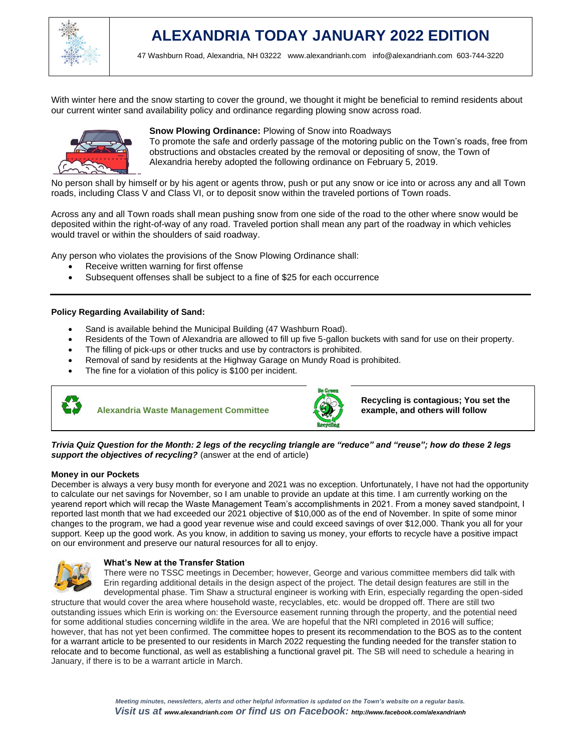

With winter here and the snow starting to cover the ground, we thought it might be beneficial to remind residents about our current winter sand availability policy and ordinance regarding plowing snow across road.



# **Snow Plowing Ordinance:** Plowing of Snow into Roadways

To promote the safe and orderly passage of the motoring public on the Town's roads, free from obstructions and obstacles created by the removal or depositing of snow, the Town of Alexandria hereby adopted the following ordinance on February 5, 2019.

No person shall by himself or by his agent or agents throw, push or put any snow or ice into or across any and all Town roads, including Class V and Class VI, or to deposit snow within the traveled portions of Town roads.

Across any and all Town roads shall mean pushing snow from one side of the road to the other where snow would be deposited within the right-of-way of any road. Traveled portion shall mean any part of the roadway in which vehicles would travel or within the shoulders of said roadway.

Any person who violates the provisions of the Snow Plowing Ordinance shall:

- Receive written warning for first offense
- Subsequent offenses shall be subject to a fine of \$25 for each occurrence

### **Policy Regarding Availability of Sand:**

- Sand is available behind the Municipal Building (47 Washburn Road).
- Residents of the Town of Alexandria are allowed to fill up five 5-gallon buckets with sand for use on their property.
- The filling of pick-ups or other trucks and use by contractors is prohibited.
- Removal of sand by residents at the Highway Garage on Mundy Road is prohibited.
- The fine for a violation of this policy is \$100 per incident.



**Alexandria Waste Management Committee** 



**Recycling is contagious; You set the example, and others will follow**

*Trivia Quiz Question for the Month: 2 legs of the recycling triangle are "reduce" and "reuse"; how do these 2 legs support the objectives of recycling?* (answer at the end of article)

### **Money in our Pockets**

December is always a very busy month for everyone and 2021 was no exception. Unfortunately, I have not had the opportunity to calculate our net savings for November, so I am unable to provide an update at this time. I am currently working on the yearend report which will recap the Waste Management Team's accomplishments in 2021. From a money saved standpoint, I reported last month that we had exceeded our 2021 objective of \$10,000 as of the end of November. In spite of some minor changes to the program, we had a good year revenue wise and could exceed savings of over \$12,000. Thank you all for your support. Keep up the good work. As you know, in addition to saving us money, your efforts to recycle have a positive impact on our environment and preserve our natural resources for all to enjoy.



#### **What's New at the Transfer Station**

There were no TSSC meetings in December; however, George and various committee members did talk with Erin regarding additional details in the design aspect of the project. The detail design features are still in the developmental phase. Tim Shaw a structural engineer is working with Erin, especially regarding the open-sided

structure that would cover the area where household waste, recyclables, etc. would be dropped off. There are still two outstanding issues which Erin is working on: the Eversource easement running through the property, and the potential need for some additional studies concerning wildlife in the area. We are hopeful that the NRI completed in 2016 will suffice; however, that has not yet been confirmed. The committee hopes to present its recommendation to the BOS as to the content for a warrant article to be presented to our residents in March 2022 requesting the funding needed for the transfer station to relocate and to become functional, as well as establishing a functional gravel pit. The SB will need to schedule a hearing in January, if there is to be a warrant article in March.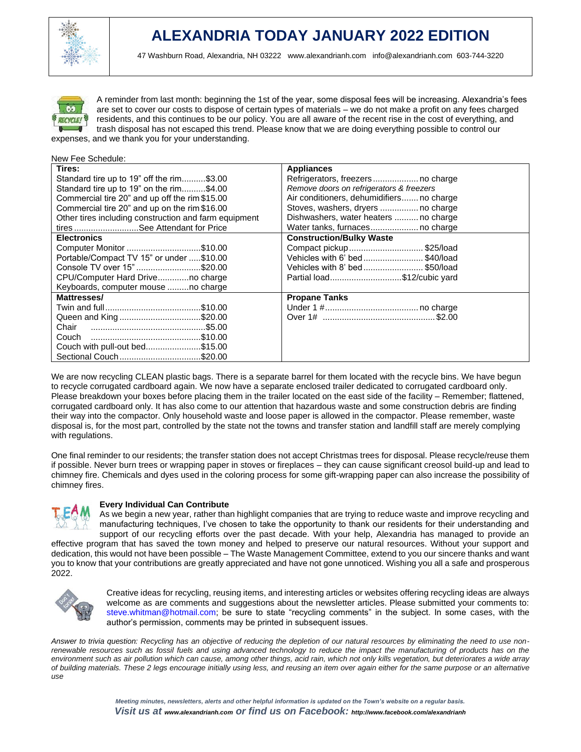



A reminder from last month: beginning the 1st of the year, some disposal fees will be increasing. Alexandria's fees are set to cover our costs to dispose of certain types of materials – we do not make a profit on any fees charged residents, and this continues to be our policy. You are all aware of the recent rise in the cost of everything, and trash disposal has not escaped this trend. Please know that we are doing everything possible to control our expenses, and we thank you for your understanding.

| New Fee Schedule:                                     |                                           |  |  |  |
|-------------------------------------------------------|-------------------------------------------|--|--|--|
| Tires:                                                | <b>Appliances</b>                         |  |  |  |
| Standard tire up to 19" off the rim\$3.00             | Refrigerators, freezers no charge         |  |  |  |
| Standard tire up to 19" on the rim\$4.00              | Remove doors on refrigerators & freezers  |  |  |  |
| Commercial tire 20" and up off the rim \$15.00        | Air conditioners, dehumidifiers no charge |  |  |  |
| Commercial tire 20" and up on the rim \$16.00         | Stoves, washers, dryers  no charge        |  |  |  |
| Other tires including construction and farm equipment | Dishwashers, water heaters  no charge     |  |  |  |
| tires See Attendant for Price                         |                                           |  |  |  |
| <b>Electronics</b>                                    | <b>Construction/Bulky Waste</b>           |  |  |  |
| Computer Monitor \$10.00                              | Compact pickup\$25/load                   |  |  |  |
| Portable/Compact TV 15" or under \$10.00              | Vehicles with 6' bed\$40/load             |  |  |  |
| Console TV over 15"\$20.00                            | Vehicles with 8' bed\$50/load             |  |  |  |
| CPU/Computer Hard Driveno charge                      | Partial load\$12/cubic yard               |  |  |  |
| Keyboards, computer mouse no charge                   |                                           |  |  |  |
| Mattresses/                                           | <b>Propane Tanks</b>                      |  |  |  |
|                                                       |                                           |  |  |  |
| Queen and King\$20.00                                 |                                           |  |  |  |
| Chair                                                 |                                           |  |  |  |
|                                                       |                                           |  |  |  |
| Couch with pull-out bed\$15.00                        |                                           |  |  |  |
| Sectional Couch\$20.00                                |                                           |  |  |  |

We are now recycling CLEAN plastic bags. There is a separate barrel for them located with the recycle bins. We have begun to recycle corrugated cardboard again. We now have a separate enclosed trailer dedicated to corrugated cardboard only. Please breakdown your boxes before placing them in the trailer located on the east side of the facility – Remember; flattened, corrugated cardboard only. It has also come to our attention that hazardous waste and some construction debris are finding their way into the compactor. Only household waste and loose paper is allowed in the compactor. Please remember, waste disposal is, for the most part, controlled by the state not the towns and transfer station and landfill staff are merely complying with regulations.

One final reminder to our residents; the transfer station does not accept Christmas trees for disposal. Please recycle/reuse them if possible. Never burn trees or wrapping paper in stoves or fireplaces – they can cause significant creosol build-up and lead to chimney fire. Chemicals and dyes used in the coloring process for some gift-wrapping paper can also increase the possibility of chimney fires.



# **Every Individual Can Contribute**

As we begin a new year, rather than highlight companies that are trying to reduce waste and improve recycling and manufacturing techniques, I've chosen to take the opportunity to thank our residents for their understanding and support of our recycling efforts over the past decade. With your help, Alexandria has managed to provide an effective program that has saved the town money and helped to preserve our natural resources. Without your support and dedication, this would not have been possible – The Waste Management Committee, extend to you our sincere thanks and want you to know that your contributions are greatly appreciated and have not gone unnoticed. Wishing you all a safe and prosperous 2022.



Creative ideas for recycling, reusing items, and interesting articles or websites offering recycling ideas are always welcome as are comments and suggestions about the newsletter articles. Please submitted your comments to: steve.whitman@hotmail.com; be sure to state "recycling comments" in the subject. In some cases, with the author's permission, comments may be printed in subsequent issues.

*Answer to trivia question: Recycling has an objective of reducing the depletion of our natural resources by eliminating the need to use nonrenewable resources such as fossil fuels and using advanced technology to reduce the impact the manufacturing of products has on the environment such as air pollution which can cause, among other things, acid rain, which not only kills vegetation, but deteriorates a wide array of building materials. These 2 legs encourage initially using less, and reusing an item over again either for the same purpose or an alternative use*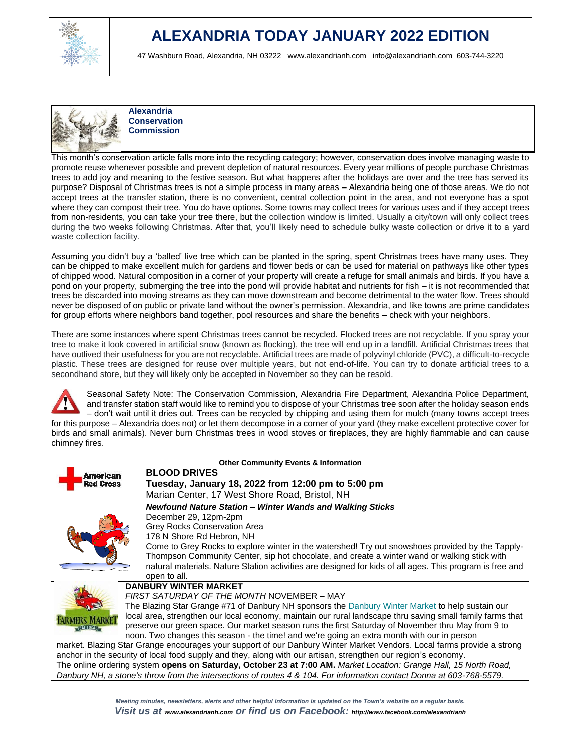

# **ALEXANDRIA TODAY JANUARY 2022 EDITION**

47 Washburn Road, Alexandria, NH 03222 [www.alexandrianh.com](http://www.alexandrianh.com/) info@alexandrianh.com 603-744-3220



**Alexandria Conservation Commission**

This month's conservation article falls more into the recycling category; however, conservation does involve managing waste to promote reuse whenever possible and prevent depletion of natural resources. Every year millions of people purchase Christmas trees to add joy and meaning to the festive season. But what happens after the holidays are over and the tree has served its purpose? Disposal of Christmas trees is not a simple process in many areas – Alexandria being one of those areas. We do not accept trees at the transfer station, there is no convenient, central collection point in the area, and not everyone has a spot where they can compost their tree. You do have options. Some towns may collect trees for various uses and if they accept trees from non-residents, you can take your tree there, but the collection window is limited. Usually a city/town will only collect trees during the two weeks following Christmas. After that, you'll likely need to schedule bulky waste collection or drive it to a yard waste collection facility.

Assuming you didn't buy a 'balled' live tree which can be planted in the spring, spent Christmas trees have many uses. They can be chipped to make excellent mulch for gardens and flower beds or can be used for material on pathways like other types of chipped wood. Natural composition in a corner of your property will create a refuge for small animals and birds. If you have a pond on your property, submerging the tree into the pond will provide habitat and nutrients for fish – it is not recommended that trees be discarded into moving streams as they can move downstream and become detrimental to the water flow. Trees should never be disposed of on public or private land without the owner's permission. Alexandria, and like towns are prime candidates for group efforts where neighbors band together, pool resources and share the benefits – check with your neighbors.

There are some instances where spent Christmas trees cannot be recycled. Flocked trees are not recyclable. If you spray your tree to make it look covered in artificial snow (known as flocking), the tree will end up in a landfill. Artificial Christmas trees that have outlived their usefulness for you are not recyclable. Artificial trees are made of polyvinyl chloride (PVC), a difficult-to-recycle plastic. These trees are designed for reuse over multiple years, but not end-of-life. You can try to donate artificial trees to a secondhand store, but they will likely only be accepted in November so they can be resold.



chimney fires.

Seasonal Safety Note: The Conservation Commission, Alexandria Fire Department, Alexandria Police Department, and transfer station staff would like to remind you to dispose of your Christmas tree soon after the holiday season ends – don't wait until it dries out. Trees can be recycled by chipping and using them for mulch (many towns accept trees for this purpose – Alexandria does not) or let them decompose in a corner of your yard (they make excellent protective cover for birds and small animals). Never burn Christmas trees in wood stoves or fireplaces, they are highly flammable and can cause

| <b>Other Community Events &amp; Information</b>                                                                        |                                                                                                            |  |  |  |  |
|------------------------------------------------------------------------------------------------------------------------|------------------------------------------------------------------------------------------------------------|--|--|--|--|
| American                                                                                                               | <b>BLOOD DRIVES</b>                                                                                        |  |  |  |  |
| <b>Red Cross</b>                                                                                                       | Tuesday, January 18, 2022 from 12:00 pm to 5:00 pm                                                         |  |  |  |  |
|                                                                                                                        | Marian Center, 17 West Shore Road, Bristol, NH                                                             |  |  |  |  |
|                                                                                                                        | Newfound Nature Station - Winter Wands and Walking Sticks                                                  |  |  |  |  |
|                                                                                                                        | December 29, 12pm-2pm                                                                                      |  |  |  |  |
|                                                                                                                        | Grey Rocks Conservation Area                                                                               |  |  |  |  |
|                                                                                                                        | 178 N Shore Rd Hebron, NH                                                                                  |  |  |  |  |
|                                                                                                                        | Come to Grey Rocks to explore winter in the watershed! Try out snowshoes provided by the Tapply-           |  |  |  |  |
|                                                                                                                        | Thompson Community Center, sip hot chocolate, and create a winter wand or walking stick with               |  |  |  |  |
|                                                                                                                        | natural materials. Nature Station activities are designed for kids of all ages. This program is free and   |  |  |  |  |
|                                                                                                                        | open to all.                                                                                               |  |  |  |  |
| <b>DANBURY WINTER MARKET</b>                                                                                           |                                                                                                            |  |  |  |  |
|                                                                                                                        | FIRST SATURDAY OF THE MONTH NOVEMBER – MAY                                                                 |  |  |  |  |
|                                                                                                                        | The Blazing Star Grange #71 of Danbury NH sponsors the Danbury Winter Market to help sustain our           |  |  |  |  |
|                                                                                                                        | local area, strengthen our local economy, maintain our rural landscape thru saving small family farms that |  |  |  |  |
|                                                                                                                        | preserve our green space. Our market season runs the first Saturday of November thru May from 9 to         |  |  |  |  |
|                                                                                                                        | noon. Two changes this season - the time! and we're going an extra month with our in person                |  |  |  |  |
| market. Blazing Star Grange encourages your support of our Danbury Winter Market Vendors. Local farms provide a strong |                                                                                                            |  |  |  |  |

anchor in the security of local food supply and they, along with our artisan, strengthen our region's economy. [The online ordering system](https://harvesttomarket.com/farmers-market/Danbury-Winter-Market) **opens on Saturday, October 23 at 7:00 AM.** *Market Location: Grange Hall, 15 North Road, Danbury NH, a stone's throw from the intersections of routes 4 & 104. For information contact Donna at 603-768-5579.*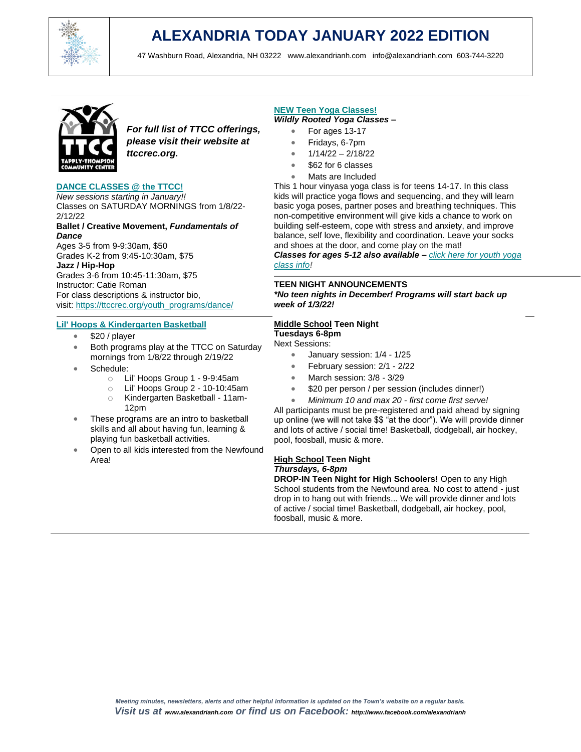

# **ALEXANDRIA TODAY JANUARY 2022 EDITION**

47 Washburn Road, Alexandria, NH 03222 [www.alexandrianh.com](http://www.alexandrianh.com/) info@alexandrianh.com 603-744-3220



*For full list of TTCC offerings, please visit their website at ttccrec.org.*

### **[DANCE CLASSES @ the TTCC!](https://ttccrec.org/youth_programs/dance/)**

*New sessions starting in January!!* Classes on SATURDAY MORNINGS from 1/8/22- 2/12/22

### **Ballet / Creative Movement,** *Fundamentals of Dance*

Ages 3-5 from 9-9:30am, \$50 Grades K-2 from 9:45-10:30am, \$75

**Jazz / Hip-Hop** Grades 3-6 from 10:45-11:30am, \$75 Instructor: Catie Roman For class descriptions & instructor bio, visit: [https://ttccrec.org/youth\\_programs/dance/](https://ttccrec.org/youth_programs/dance/)

### **Lil' [Hoops & Kindergarten Basketball](https://ttccrec.us5.list-manage.com/track/click?u=cbe9bb8c8bf6cb25d5d845345&id=6adb7a3261&e=210f62fe6f)**

- \$20 / player
- Both programs play at the TTCC on Saturday mornings from 1/8/22 through 2/19/22
- Schedule:
	- o Lil' Hoops Group 1 9-9:45am
	- o Lil' Hoops Group 2 10-10:45am
	- o Kindergarten Basketball 11am-12pm
- These programs are an intro to basketball skills and all about having fun, learning & playing fun basketball activities.
- Open to all kids interested from the Newfound Area!

### **[NEW Teen Yoga Classes!](https://ttccrec.org/teen_programs/yoga-classes/)** *Wildly Rooted Yoga Classes –*

- - For ages 13-17
	- Fridays, 6-7pm
	- 1/14/22 2/18/22
	- \$62 for 6 classes
	- Mats are Included

This 1 hour vinyasa yoga class is for teens 14-17. In this class kids will practice yoga flows and sequencing, and they will learn basic yoga poses, partner poses and breathing techniques. This non-competitive environment will give kids a chance to work on building self-esteem, cope with stress and anxiety, and improve balance, self love, flexibility and coordination. Leave your socks and shoes at the door, and come play on the mat!

*Classes for ages 5-12 also available – [click here for youth yoga](https://ttccrec.org/youth_programs/yoga/)  [class info](https://ttccrec.org/youth_programs/yoga/)!*

### **TEEN NIGHT ANNOUNCEMENTS**

*\*No teen nights in December! Programs will start back up week of 1/3/22!*

### **Middle School Teen Night**

# **Tuesdays 6-8pm**

Next Sessions:

- January session: 1/4 1/25
- February session: 2/1 2/22
- March session: 3/8 3/29
- \$20 per person / per session (includes dinner!)
- *Minimum 10 and max 20 - first come first serve!*

All participants must be pre-registered and paid ahead by signing up online (we will not take \$\$ "at the door"). We will provide dinner and lots of active / social time! Basketball, dodgeball, air hockey, pool, foosball, music & more.

# **High School Teen Night** *Thursdays, 6-8pm*

**DROP-IN Teen Night for High Schoolers!** Open to any High School students from the Newfound area. No cost to attend - just drop in to hang out with friends... We will provide dinner and lots of active / social time! Basketball, dodgeball, air hockey, pool, foosball, music & more.